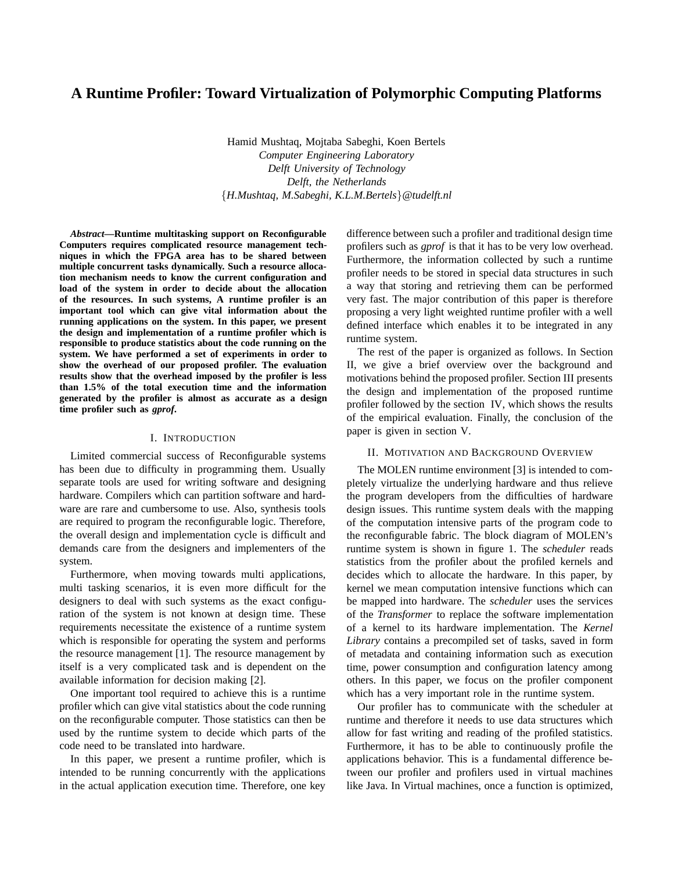# **A Runtime Profiler: Toward Virtualization of Polymorphic Computing Platforms**

Hamid Mushtaq, Mojtaba Sabeghi, Koen Bertels *Computer Engineering Laboratory Delft University of Technology Delft, the Netherlands {H.Mushtaq, M.Sabeghi, K.L.M.Bertels}@tudelft.nl*

*Abstract***—Runtime multitasking support on Reconfigurable Computers requires complicated resource management techniques in which the FPGA area has to be shared between multiple concurrent tasks dynamically. Such a resource allocation mechanism needs to know the current configuration and load of the system in order to decide about the allocation of the resources. In such systems, A runtime profiler is an important tool which can give vital information about the running applications on the system. In this paper, we present the design and implementation of a runtime profiler which is responsible to produce statistics about the code running on the system. We have performed a set of experiments in order to show the overhead of our proposed profiler. The evaluation results show that the overhead imposed by the profiler is less than 1.5% of the total execution time and the information generated by the profiler is almost as accurate as a design time profiler such as** *gprof***.**

### I. INTRODUCTION

Limited commercial success of Reconfigurable systems has been due to difficulty in programming them. Usually separate tools are used for writing software and designing hardware. Compilers which can partition software and hardware are rare and cumbersome to use. Also, synthesis tools are required to program the reconfigurable logic. Therefore, the overall design and implementation cycle is difficult and demands care from the designers and implementers of the system.

Furthermore, when moving towards multi applications, multi tasking scenarios, it is even more difficult for the designers to deal with such systems as the exact configuration of the system is not known at design time. These requirements necessitate the existence of a runtime system which is responsible for operating the system and performs the resource management [1]. The resource management by itself is a very complicated task and is dependent on the available information for decision making [2].

One important tool required to achieve this is a runtime profiler which can give vital statistics about the code running on the reconfigurable computer. Those statistics can then be used by the runtime system to decide which parts of the code need to be translated into hardware.

In this paper, we present a runtime profiler, which is intended to be running concurrently with the applications in the actual application execution time. Therefore, one key

difference between such a profiler and traditional design time profilers such as *gprof* is that it has to be very low overhead. Furthermore, the information collected by such a runtime profiler needs to be stored in special data structures in such a way that storing and retrieving them can be performed very fast. The major contribution of this paper is therefore proposing a very light weighted runtime profiler with a well defined interface which enables it to be integrated in any runtime system.

The rest of the paper is organized as follows. In Section II, we give a brief overview over the background and motivations behind the proposed profiler. Section III presents the design and implementation of the proposed runtime profiler followed by the section IV, which shows the results of the empirical evaluation. Finally, the conclusion of the paper is given in section V.

### II. MOTIVATION AND BACKGROUND OVERVIEW

The MOLEN runtime environment [3] is intended to completely virtualize the underlying hardware and thus relieve the program developers from the difficulties of hardware design issues. This runtime system deals with the mapping of the computation intensive parts of the program code to the reconfigurable fabric. The block diagram of MOLEN's runtime system is shown in figure 1. The *scheduler* reads statistics from the profiler about the profiled kernels and decides which to allocate the hardware. In this paper, by kernel we mean computation intensive functions which can be mapped into hardware. The *scheduler* uses the services of the *Transformer* to replace the software implementation of a kernel to its hardware implementation. The *Kernel Library* contains a precompiled set of tasks, saved in form of metadata and containing information such as execution time, power consumption and configuration latency among others. In this paper, we focus on the profiler component which has a very important role in the runtime system.

Our profiler has to communicate with the scheduler at runtime and therefore it needs to use data structures which allow for fast writing and reading of the profiled statistics. Furthermore, it has to be able to continuously profile the applications behavior. This is a fundamental difference between our profiler and profilers used in virtual machines like Java. In Virtual machines, once a function is optimized,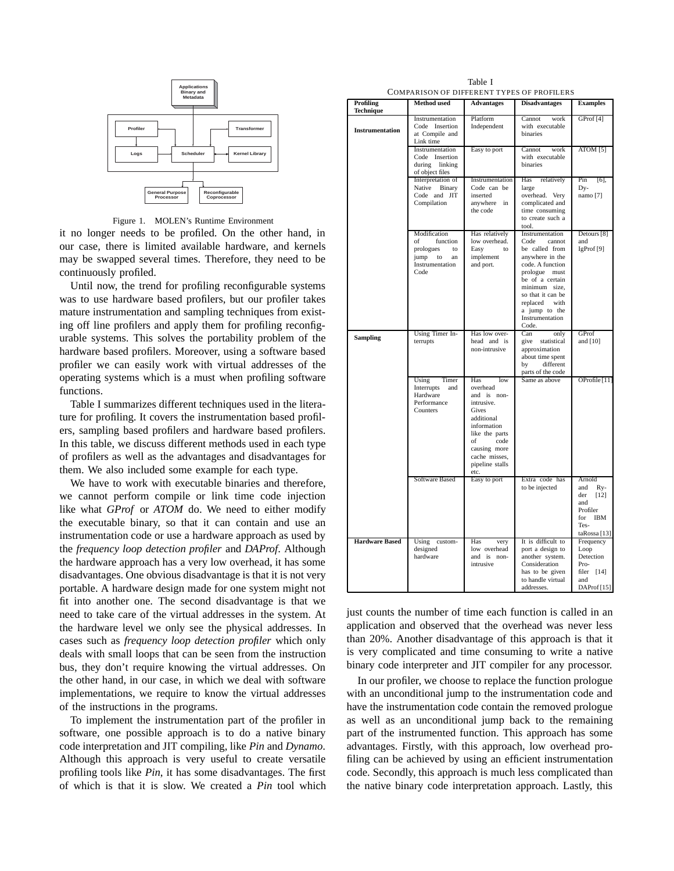

Figure 1. MOLEN's Runtime Environment

it no longer needs to be profiled. On the other hand, in our case, there is limited available hardware, and kernels may be swapped several times. Therefore, they need to be continuously profiled.

Until now, the trend for profiling reconfigurable systems was to use hardware based profilers, but our profiler takes mature instrumentation and sampling techniques from existing off line profilers and apply them for profiling reconfigurable systems. This solves the portability problem of the hardware based profilers. Moreover, using a software based profiler we can easily work with virtual addresses of the operating systems which is a must when profiling software functions.

Table I summarizes different techniques used in the literature for profiling. It covers the instrumentation based profilers, sampling based profilers and hardware based profilers. In this table, we discuss different methods used in each type of profilers as well as the advantages and disadvantages for them. We also included some example for each type.

We have to work with executable binaries and therefore, we cannot perform compile or link time code injection like what *GProf* or *ATOM* do. We need to either modify the executable binary, so that it can contain and use an instrumentation code or use a hardware approach as used by the *frequency loop detection profiler* and *DAProf*. Although the hardware approach has a very low overhead, it has some disadvantages. One obvious disadvantage is that it is not very portable. A hardware design made for one system might not fit into another one. The second disadvantage is that we need to take care of the virtual addresses in the system. At the hardware level we only see the physical addresses. In cases such as *frequency loop detection profiler* which only deals with small loops that can be seen from the instruction bus, they don't require knowing the virtual addresses. On the other hand, in our case, in which we deal with software implementations, we require to know the virtual addresses of the instructions in the programs.

To implement the instrumentation part of the profiler in software, one possible approach is to do a native binary code interpretation and JIT compiling, like *Pin* and *Dynamo*. Although this approach is very useful to create versatile profiling tools like *Pin*, it has some disadvantages. The first of which is that it is slow. We created a *Pin* tool which

Table I COMPARISON OF DIFFERENT TYPES OF PROFILERS

|                                      |                                                                                                  | PHILIPPITI<br>.                                                                                                                                                                       | 111011LLLV                                                                                                                                                                                                                            |                                                                                                |
|--------------------------------------|--------------------------------------------------------------------------------------------------|---------------------------------------------------------------------------------------------------------------------------------------------------------------------------------------|---------------------------------------------------------------------------------------------------------------------------------------------------------------------------------------------------------------------------------------|------------------------------------------------------------------------------------------------|
| <b>Profiling</b><br><b>Technique</b> | <b>Method</b> used                                                                               | <b>Advantages</b>                                                                                                                                                                     | <b>Disadvantages</b>                                                                                                                                                                                                                  | <b>Examples</b>                                                                                |
| Instrumentation                      | Instrumentation<br>Code Insertion<br>at Compile and<br>Link time                                 | Platform<br>Independent                                                                                                                                                               | Cannot<br>work<br>with executable<br>binaries                                                                                                                                                                                         | GProf <sup>[4]</sup>                                                                           |
|                                      | Instrumentation<br>Code Insertion<br>during<br>linking<br>of object files                        | Easy to port                                                                                                                                                                          | Cannot<br>work<br>with executable<br>binaries                                                                                                                                                                                         | $ATOM$ [5]                                                                                     |
|                                      | Interpretation of<br>Native<br>Binary<br>Code and JIT<br>Compilation                             | Instrumentation<br>Code can be<br>inserted<br>anywhere in<br>the code                                                                                                                 | Has<br>relatively<br>large<br>overhead. Very<br>complicated and<br>time consuming<br>to create such a<br>tool.                                                                                                                        | Pin<br>[6]<br>Dy-<br>namo [7]                                                                  |
|                                      | Modification<br>of<br>function<br>prologues<br>to<br>jump<br>to<br>an<br>Instrumentation<br>Code | Has relatively<br>low overhead.<br>Easy<br>to<br>implement<br>and port.                                                                                                               | Instrumentation<br>Code<br>cannot<br>be called from<br>anywhere in the<br>code. A function<br>prologue must<br>be of a certain<br>minimum size,<br>so that it can be<br>replaced<br>with<br>a jump to the<br>Instrumentation<br>Code. | Detours <sup>[8]</sup><br>and<br>IgProf <sup>[9]</sup>                                         |
| <b>Sampling</b>                      | Using Timer In-<br>terrupts                                                                      | Has low over-<br>head and is<br>non-intrusive                                                                                                                                         | Can<br>only<br>give<br>statistical<br>approximation<br>about time spent<br>different<br>by<br>parts of the code                                                                                                                       | GProf<br>and $[10]$                                                                            |
|                                      | Using<br>Timer<br>Interrupts<br>and<br>Hardware<br>Performance<br>Counters                       | Has<br>low<br>overhead<br>and is non-<br>intrusive.<br>Gives<br>additional<br>information<br>like the parts<br>of<br>code<br>causing more<br>cache misses,<br>pipeline stalls<br>etc. | Same as above                                                                                                                                                                                                                         | OProfile <sup>[11]</sup>                                                                       |
|                                      | Software Based                                                                                   | Easy to port                                                                                                                                                                          | Extra code has<br>to be injected                                                                                                                                                                                                      | Arnold<br>and<br>Ry-<br>der<br>$[12]$<br>and<br>Profiler<br>for<br>IBM<br>Tes-<br>taRossa [13] |
| <b>Hardware Based</b>                | Using<br>custom-<br>designed<br>hardware                                                         | Has<br>very<br>low overhead<br>and is non-<br>intrusive                                                                                                                               | It is difficult to<br>port a design to<br>another system.<br>Consideration<br>has to be given<br>to handle virtual<br>addresses.                                                                                                      | Frequency<br>Loop<br>Detection<br>Pro-<br>filer<br>$[14]$<br>and<br>DAProf[15]                 |

just counts the number of time each function is called in an application and observed that the overhead was never less than 20%. Another disadvantage of this approach is that it is very complicated and time consuming to write a native binary code interpreter and JIT compiler for any processor.

In our profiler, we choose to replace the function prologue with an unconditional jump to the instrumentation code and have the instrumentation code contain the removed prologue as well as an unconditional jump back to the remaining part of the instrumented function. This approach has some advantages. Firstly, with this approach, low overhead profiling can be achieved by using an efficient instrumentation code. Secondly, this approach is much less complicated than the native binary code interpretation approach. Lastly, this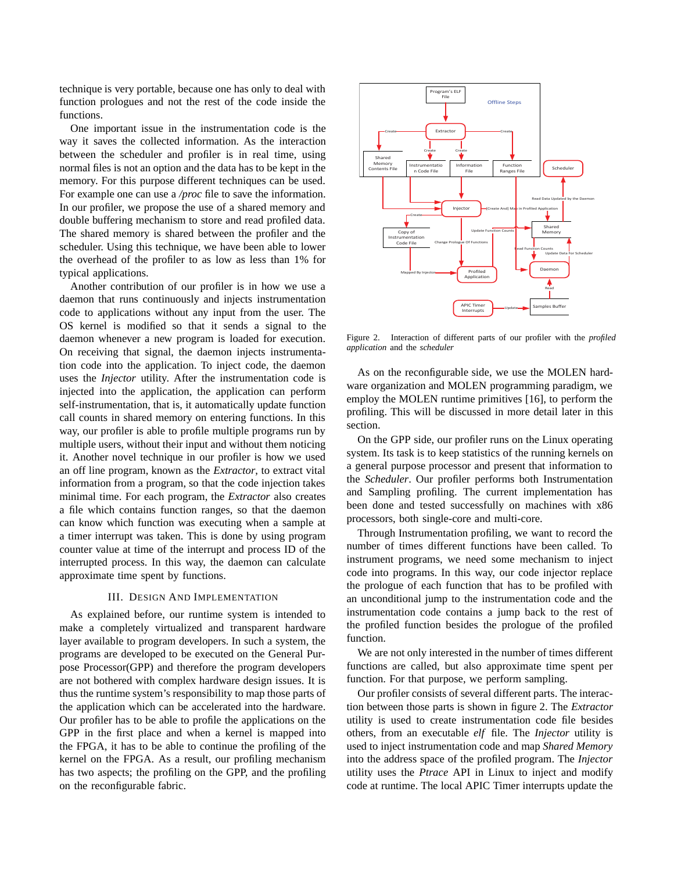technique is very portable, because one has only to deal with function prologues and not the rest of the code inside the functions.

One important issue in the instrumentation code is the way it saves the collected information. As the interaction between the scheduler and profiler is in real time, using normal files is not an option and the data has to be kept in the memory. For this purpose different techniques can be used. For example one can use a */proc* file to save the information. In our profiler, we propose the use of a shared memory and double buffering mechanism to store and read profiled data. The shared memory is shared between the profiler and the scheduler. Using this technique, we have been able to lower the overhead of the profiler to as low as less than 1% for typical applications.

Another contribution of our profiler is in how we use a daemon that runs continuously and injects instrumentation code to applications without any input from the user. The OS kernel is modified so that it sends a signal to the daemon whenever a new program is loaded for execution. On receiving that signal, the daemon injects instrumentation code into the application. To inject code, the daemon uses the *Injector* utility. After the instrumentation code is injected into the application, the application can perform self-instrumentation, that is, it automatically update function call counts in shared memory on entering functions. In this way, our profiler is able to profile multiple programs run by multiple users, without their input and without them noticing it. Another novel technique in our profiler is how we used an off line program, known as the *Extractor*, to extract vital information from a program, so that the code injection takes minimal time. For each program, the *Extractor* also creates a file which contains function ranges, so that the daemon can know which function was executing when a sample at a timer interrupt was taken. This is done by using program counter value at time of the interrupt and process ID of the interrupted process. In this way, the daemon can calculate approximate time spent by functions.

#### III. DESIGN AND IMPLEMENTATION

As explained before, our runtime system is intended to make a completely virtualized and transparent hardware layer available to program developers. In such a system, the programs are developed to be executed on the General Purpose Processor(GPP) and therefore the program developers are not bothered with complex hardware design issues. It is thus the runtime system's responsibility to map those parts of the application which can be accelerated into the hardware. Our profiler has to be able to profile the applications on the GPP in the first place and when a kernel is mapped into the FPGA, it has to be able to continue the profiling of the kernel on the FPGA. As a result, our profiling mechanism has two aspects; the profiling on the GPP, and the profiling on the reconfigurable fabric.



Figure 2. Interaction of different parts of our profiler with the *profiled application* and the *scheduler*

As on the reconfigurable side, we use the MOLEN hardware organization and MOLEN programming paradigm, we employ the MOLEN runtime primitives [16], to perform the profiling. This will be discussed in more detail later in this section.

On the GPP side, our profiler runs on the Linux operating system. Its task is to keep statistics of the running kernels on a general purpose processor and present that information to the *Scheduler*. Our profiler performs both Instrumentation and Sampling profiling. The current implementation has been done and tested successfully on machines with x86 processors, both single-core and multi-core.

Through Instrumentation profiling, we want to record the number of times different functions have been called. To instrument programs, we need some mechanism to inject code into programs. In this way, our code injector replace the prologue of each function that has to be profiled with an unconditional jump to the instrumentation code and the instrumentation code contains a jump back to the rest of the profiled function besides the prologue of the profiled function.

We are not only interested in the number of times different functions are called, but also approximate time spent per function. For that purpose, we perform sampling.

Our profiler consists of several different parts. The interaction between those parts is shown in figure 2. The *Extractor* utility is used to create instrumentation code file besides others, from an executable *elf* file. The *Injector* utility is used to inject instrumentation code and map *Shared Memory* into the address space of the profiled program. The *Injector* utility uses the *Ptrace* API in Linux to inject and modify code at runtime. The local APIC Timer interrupts update the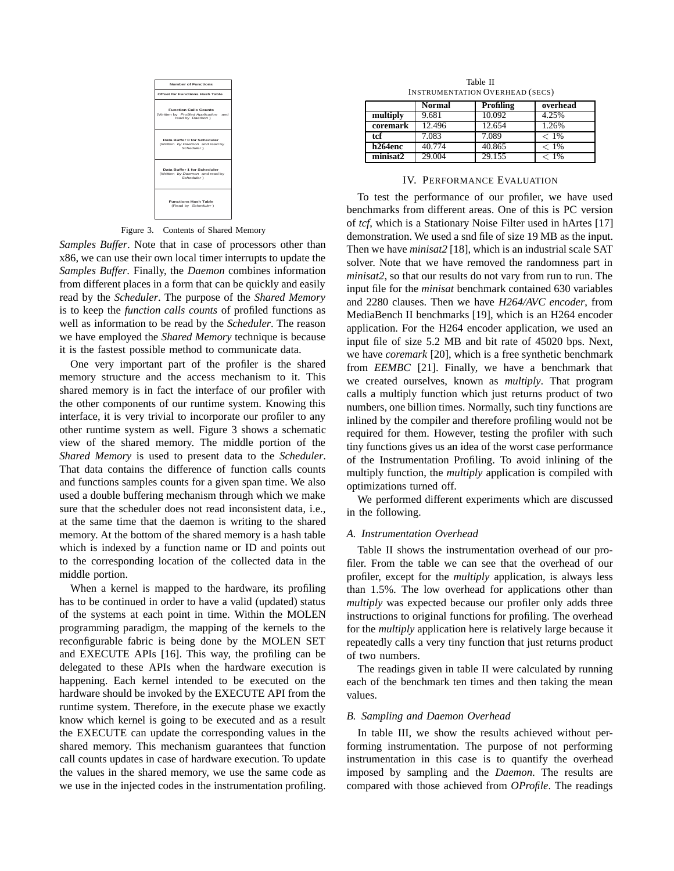

Figure 3. Contents of Shared Memory

*Samples Buffer*. Note that in case of processors other than x86, we can use their own local timer interrupts to update the *Samples Buffer*. Finally, the *Daemon* combines information from different places in a form that can be quickly and easily read by the *Scheduler*. The purpose of the *Shared Memory* is to keep the *function calls counts* of profiled functions as well as information to be read by the *Scheduler*. The reason we have employed the *Shared Memory* technique is because it is the fastest possible method to communicate data.

One very important part of the profiler is the shared memory structure and the access mechanism to it. This shared memory is in fact the interface of our profiler with the other components of our runtime system. Knowing this interface, it is very trivial to incorporate our profiler to any other runtime system as well. Figure 3 shows a schematic view of the shared memory. The middle portion of the *Shared Memory* is used to present data to the *Scheduler*. That data contains the difference of function calls counts and functions samples counts for a given span time. We also used a double buffering mechanism through which we make sure that the scheduler does not read inconsistent data, i.e., at the same time that the daemon is writing to the shared memory. At the bottom of the shared memory is a hash table which is indexed by a function name or ID and points out to the corresponding location of the collected data in the middle portion.

When a kernel is mapped to the hardware, its profiling has to be continued in order to have a valid (updated) status of the systems at each point in time. Within the MOLEN programming paradigm, the mapping of the kernels to the reconfigurable fabric is being done by the MOLEN SET and EXECUTE APIs [16]. This way, the profiling can be delegated to these APIs when the hardware execution is happening. Each kernel intended to be executed on the hardware should be invoked by the EXECUTE API from the runtime system. Therefore, in the execute phase we exactly know which kernel is going to be executed and as a result the EXECUTE can update the corresponding values in the shared memory. This mechanism guarantees that function call counts updates in case of hardware execution. To update the values in the shared memory, we use the same code as we use in the injected codes in the instrumentation profiling.

Table II INSTRUMENTATION OVERHEAD (SECS)

|          | Normal | Profiling | overhead |
|----------|--------|-----------|----------|
| multiply | 9.681  | 10.092    | 4.25%    |
| coremark | 12.496 | 12.654    | 1.26%    |
| tcf      | 7.083  | 7.089     | $< 1\%$  |
| h264enc  | 40.774 | 40.865    | $< 1\%$  |
| minisat2 | 29.004 | 29.155    | $~1\%$   |

# IV. PERFORMANCE EVALUATION

To test the performance of our profiler, we have used benchmarks from different areas. One of this is PC version of *tcf*, which is a Stationary Noise Filter used in hArtes [17] demonstration. We used a snd file of size 19 MB as the input. Then we have *minisat2* [18], which is an industrial scale SAT solver. Note that we have removed the randomness part in *minisat2*, so that our results do not vary from run to run. The input file for the *minisat* benchmark contained 630 variables and 2280 clauses. Then we have *H264/AVC encoder*, from MediaBench II benchmarks [19], which is an H264 encoder application. For the H264 encoder application, we used an input file of size 5.2 MB and bit rate of 45020 bps. Next, we have *coremark* [20], which is a free synthetic benchmark from *EEMBC* [21]. Finally, we have a benchmark that we created ourselves, known as *multiply*. That program calls a multiply function which just returns product of two numbers, one billion times. Normally, such tiny functions are inlined by the compiler and therefore profiling would not be required for them. However, testing the profiler with such tiny functions gives us an idea of the worst case performance of the Instrumentation Profiling. To avoid inlining of the multiply function, the *multiply* application is compiled with optimizations turned off.

We performed different experiments which are discussed in the following.

### *A. Instrumentation Overhead*

Table II shows the instrumentation overhead of our profiler. From the table we can see that the overhead of our profiler, except for the *multiply* application, is always less than 1.5%. The low overhead for applications other than *multiply* was expected because our profiler only adds three instructions to original functions for profiling. The overhead for the *multiply* application here is relatively large because it repeatedly calls a very tiny function that just returns product of two numbers.

The readings given in table II were calculated by running each of the benchmark ten times and then taking the mean values.

#### *B. Sampling and Daemon Overhead*

In table III, we show the results achieved without performing instrumentation. The purpose of not performing instrumentation in this case is to quantify the overhead imposed by sampling and the *Daemon*. The results are compared with those achieved from *OProfile*. The readings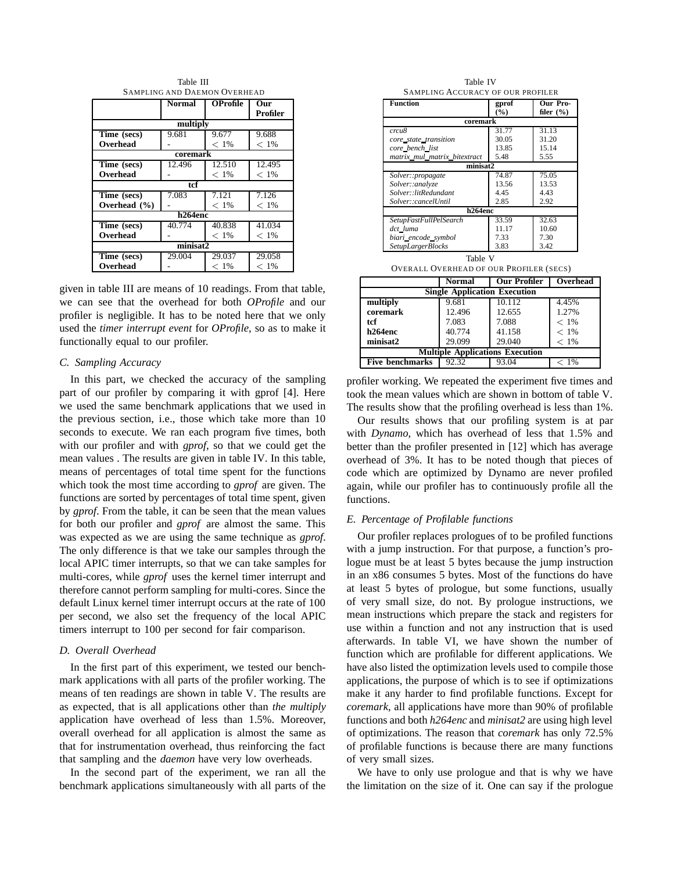| Table III                           |          |                 |                 |  |
|-------------------------------------|----------|-----------------|-----------------|--|
| <b>SAMPLING AND DAEMON OVERHEAD</b> |          |                 |                 |  |
|                                     | Normal   | <b>OProfile</b> | Our             |  |
|                                     |          |                 | <b>Profiler</b> |  |
|                                     | multiply |                 |                 |  |
| Time (secs)                         | 9.681    | 9.677           | 9.688           |  |
| Overhead                            |          | $< 1\%$         | $< 1\%$         |  |
| coremark                            |          |                 |                 |  |
| Time (secs)                         | 12.496   | 12.510          | 12.495          |  |
| Overhead                            |          | $< 1\%$         | $< 1\%$         |  |
| tef                                 |          |                 |                 |  |
| Time (secs)                         | 7.083    | 7.121           | 7.126           |  |
| Overhead $(\% )$                    |          | $< 1\%$         | $< 1\%$         |  |
| h264enc                             |          |                 |                 |  |
| Time (secs)                         | 40.774   | 40.838          | 41.034          |  |
| Overhead                            |          | $< 1\%$         | $< 1\%$         |  |
| $\overline{\text{minis}}$ at2       |          |                 |                 |  |
| Time (secs)                         | 29.004   | 29.037          | 29.058          |  |
| Overhead                            |          | $< 1\%$         | $< 1\%$         |  |

given in table III are means of 10 readings. From that table, we can see that the overhead for both *OProfile* and our profiler is negligible. It has to be noted here that we only used the *timer interrupt event* for *OProfile*, so as to make it functionally equal to our profiler.

# *C. Sampling Accuracy*

In this part, we checked the accuracy of the sampling part of our profiler by comparing it with gprof [4]. Here we used the same benchmark applications that we used in the previous section, i.e., those which take more than 10 seconds to execute. We ran each program five times, both with our profiler and with *gprof*, so that we could get the mean values . The results are given in table IV. In this table, means of percentages of total time spent for the functions which took the most time according to *gprof* are given. The functions are sorted by percentages of total time spent, given by *gprof*. From the table, it can be seen that the mean values for both our profiler and *gprof* are almost the same. This was expected as we are using the same technique as *gprof*. The only difference is that we take our samples through the local APIC timer interrupts, so that we can take samples for multi-cores, while *gprof* uses the kernel timer interrupt and therefore cannot perform sampling for multi-cores. Since the default Linux kernel timer interrupt occurs at the rate of 100 per second, we also set the frequency of the local APIC timers interrupt to 100 per second for fair comparison.

# *D. Overall Overhead*

In the first part of this experiment, we tested our benchmark applications with all parts of the profiler working. The means of ten readings are shown in table V. The results are as expected, that is all applications other than *the multiply* application have overhead of less than 1.5%. Moreover, overall overhead for all application is almost the same as that for instrumentation overhead, thus reinforcing the fact that sampling and the *daemon* have very low overheads.

In the second part of the experiment, we ran all the benchmark applications simultaneously with all parts of the

| Table IV                                       |                          |                     |       |                           |  |
|------------------------------------------------|--------------------------|---------------------|-------|---------------------------|--|
| <b>SAMPLING ACCURACY OF OUR PROFILER</b>       |                          |                     |       |                           |  |
| <b>Function</b>                                |                          |                     |       | Our Pro-<br>filer $(\% )$ |  |
|                                                | coremark                 |                     |       |                           |  |
| crcu8                                          |                          |                     | 31.13 |                           |  |
| core_state_transition                          |                          | 30.05               | 31.20 |                           |  |
| core bench list                                |                          | 13.85               |       | 15.14                     |  |
| matrix mul matrix bitextract                   |                          | 5.48                | 5.55  |                           |  |
|                                                | minisat2                 |                     |       |                           |  |
| Solver::propagate                              |                          | 74.87               |       | 75.05                     |  |
| Solver::analyze                                |                          | 13.56<br>4.45       |       | 13.53                     |  |
|                                                | Solver::litRedundant     |                     |       | 4.43                      |  |
|                                                | Solver::cancelUntil      |                     |       | 2.92                      |  |
| $h264$ enc                                     |                          |                     |       |                           |  |
|                                                | SetupFastFullPelSearch   |                     |       | 32.63                     |  |
| dct_luma                                       |                          | 11.17               | 10.60 |                           |  |
|                                                | biari_encode_symbol      |                     |       | 7.30                      |  |
|                                                | <b>SetupLargerBlocks</b> |                     | 3.42  |                           |  |
| Table V                                        |                          |                     |       |                           |  |
| <b>OVERALL OVERHEAD OF OUR PROFILER (SECS)</b> |                          |                     |       |                           |  |
|                                                | <b>Normal</b>            | <b>Our Profiler</b> |       | Overhead                  |  |
| <b>Single Application Execution</b>            |                          |                     |       |                           |  |
| multiply                                       | 9.681                    | 10.112              |       | 4.45%                     |  |
| coremark<br>12.496                             |                          | 12.655              |       | 1.27%                     |  |
| 7.083<br>tcf                                   |                          | 7.088               |       | $< 1\%$                   |  |
| h264enc<br>40.774                              |                          | 41.158              |       | $< 1\%$                   |  |
| minisat2<br>29.099                             |                          | 29.040              |       | $< 1\%$                   |  |
| <b>Multiple Applications Execution</b>         |                          |                     |       |                           |  |
| <b>Five benchmarks</b>                         | 92.32                    | 93.04               |       | $< 1\%$                   |  |
|                                                |                          |                     |       |                           |  |

profiler working. We repeated the experiment five times and took the mean values which are shown in bottom of table V. The results show that the profiling overhead is less than 1%.

Our results shows that our profiling system is at par with *Dynamo*, which has overhead of less that 1.5% and better than the profiler presented in [12] which has average overhead of 3%. It has to be noted though that pieces of code which are optimized by Dynamo are never profiled again, while our profiler has to continuously profile all the functions.

# *E. Percentage of Profilable functions*

Our profiler replaces prologues of to be profiled functions with a jump instruction. For that purpose, a function's prologue must be at least 5 bytes because the jump instruction in an x86 consumes 5 bytes. Most of the functions do have at least 5 bytes of prologue, but some functions, usually of very small size, do not. By prologue instructions, we mean instructions which prepare the stack and registers for use within a function and not any instruction that is used afterwards. In table VI, we have shown the number of function which are profilable for different applications. We have also listed the optimization levels used to compile those applications, the purpose of which is to see if optimizations make it any harder to find profilable functions. Except for *coremark*, all applications have more than 90% of profilable functions and both *h264enc* and *minisat2* are using high level of optimizations. The reason that *coremark* has only 72.5% of profilable functions is because there are many functions of very small sizes.

We have to only use prologue and that is why we have the limitation on the size of it. One can say if the prologue